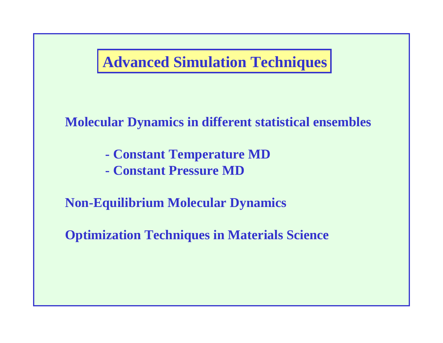# **Advanced Simulation Techniques**

# **Molecular Dynamics in different statistical ensembles**

- **Constant Temperature MD**
- **Constant Pressure MD**

**Non-Equilibrium Molecular Dynamics**

**Optimization Techniques in Materials Science**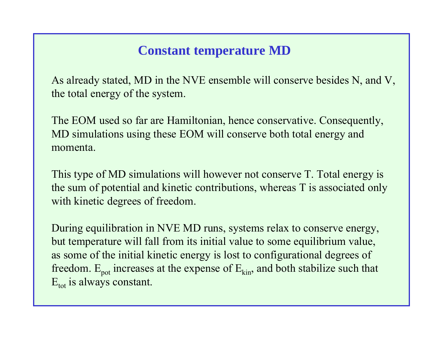### **Constant temperature MD**

As already stated, MD in the NVE ensemble will conserve besides N, and V, the total energy of the system.

The EOM used so far are Hamiltonian, hence conservative. Consequently, MD simulations using these EOM will conserve both total energy and momenta.

This type of MD simulations will however not conserve T. Total energy is the sum of potential and kinetic contributions, whereas T is associated only with kinetic degrees of freedom.

During equilibration in NVE MD runs, systems relax to conserve energy, but temperature will fall from its initial value to some equilibrium value, as some of the initial kinetic energy is lost to configurational degrees of freedom.  $E_{pot}$  increases at the expense of  $E_{kin}$ , and both stabilize such that  $E_{\text{tot}}$  is always constant.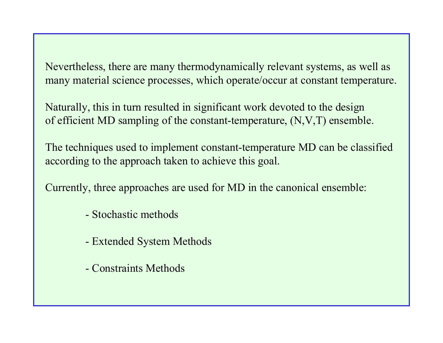Nevertheless, there are many thermodynamically relevant systems, as well as many material science processes, which operate/occur at constant temperature.

Naturally, this in turn resulted in significant work devoted to the design of efficient MD sampling of the constant-temperature, (N,V,T) ensemble.

The techniques used to implement constant-temperature MD can be classified according to the approach taken to achieve this goal.

Currently, three approaches are used for MD in the canonical ensembl e:

- -Stochastic methods
- Extended System Methods
- -Constraints Methods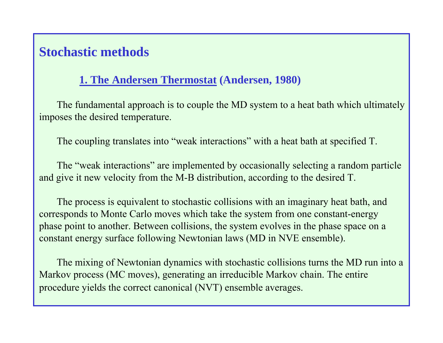## **Stochastic methods**

#### **1. The Andersen Thermostat (Andersen, 1980)**

The fundamental approach is to couple the MD system to a heat bath which ultimately imposes the desired temperature.

The coupling translates into "weak interactions" with a heat bath at specified T.

The "weak interactions" are implemented by occasionally selecting a random particle and give it new velocity from the M-B distribution, according to the desired T.

The process is equivalent to stochastic collisions with an imaginary heat bath, and corresponds to Monte Carlo moves which take the system from one constant-energy phase point to another. Between collisions, the system evolves in the phase space on a constant energy surface following Newtonian laws (MD in NVE ensemble).

The mixing of Newtonian dynamics with stochastic collisions turns the MD run into a Markov process (MC moves), generating an irreducible Markov chain. The entire procedure yields the correct canonical (NVT) ensemble averages.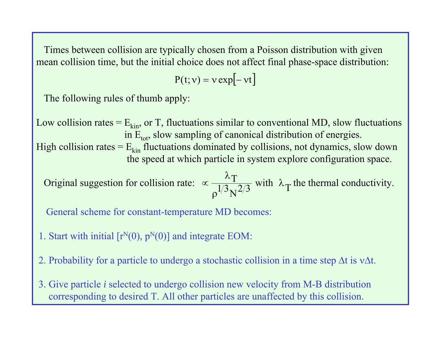Times between collision are typically chosen from a Poisson distribution with given mean collision time, but the initial choice does not affect final phase-space distribution:

$$
P(t; v) = v \exp[-vt]
$$

The following rules of thumb apply:

Low collision rates =  $E_{kin}$ , or T, fluctuations similar to conventional MD, slow fluctuations in  $E_{\text{tot}}$ , slow sampling of canonical distribution of energies.

High collision rates  $=E_{kin}$  fluctuations dominated by collisions, not dynamics, slow down the speed at which particle in system explore configuration space.

Original suggestion for collision rate:  $\propto \frac{1}{1/3}$  with  $\lambda$ <sub>T</sub> the thermal conductivity.  $\propto \frac{\lambda_T}{\rho^{1/3} N^{2/3}}$  with  $\lambda_T$ 

General scheme for constant-temperature MD becomes:

- 1. Start with initial  $[r<sup>N</sup>(0), p<sup>N</sup>(0)]$  and integrate EOM:
- 2. Probability for a particle to undergo a stochastic collision in a time step  $\Delta t$  is v $\Delta t$ .
- 3. Give particle *i* selected to undergo collision new velocity from M-B distribution corresponding to desired T. All other particles are unaffected by this collision.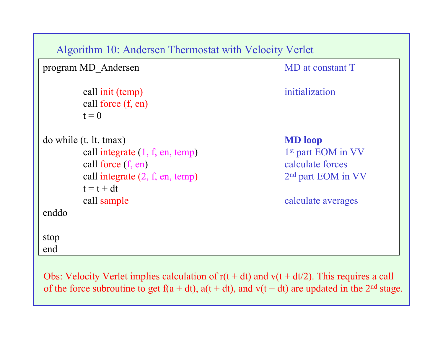```
Algorithm 10: Andersen Thermostat with Velocity Verlet
program MD_Andersen MD at constant T
       call init (temp) initialization
       call force (f, en)
       t = 0do while (t. lt. tmax) MD loop
       call integrate (1, f, en, temp) 1st part EOM in VV
       call force (f, en)calculate forces
       call integrate (2, f, en, temp) 2<sup>nd</sup> part EOM in VV
       t = t + dtcall sample
                                           calculate averages
enddostop
end
```
Obs: Velocity Verlet implies calculation of  $r(t + dt)$  and  $v(t + dt/2)$ . This requires a call of the force subroutine to get  $f(a + dt)$ ,  $a(t + dt)$ , and  $v(t + dt)$  are updated in the 2<sup>nd</sup> stage.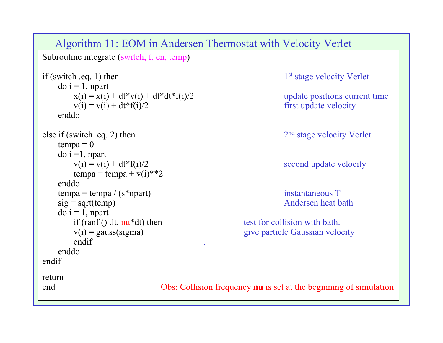#### Algorithm 11: EOM in Andersen Thermostat with Velocity Verlet

Subroutine integrate (switch, f, en, temp)

```
if (switch .eq. 1) then 1<sup>st</sup> stage velocity Verlet
    do i = 1, npart
        x(i) = x(i) + dt * v(i) + dt * dt * f(i)/2 update positions current time
        v(i) = v(i) + dt * f(i)/2 first update velocity
    enddoelse if (switch .eq. 2) then 2<sup>nd</sup> stage velocity Verlet
    tempa = 0\alpha i =1, npart
        v(i) = v(i) + dt * f(i)/2 second update velocity
        tempa = tempa + v(i)<sup>**2</sup>
    enddotempa = tempa / (s*npart) instantaneous T
    sig = sqrttemp) Andersen heat bath
    do i = 1, npart
        if (ran f(). It. nu^* dt then test for collision with bath.
        v(i) = gauss(sigma) give particle Gaussian velocity
        endif\blacksquare . The contract of the contract of the contract of the contract of the contract of the contract of the contract of the contract of the contract of the contract of the contract of the contract of the contract of the 
    enddoendifreturn end
```
Obs: Collision frequency **nu** is set at the beginning of simulation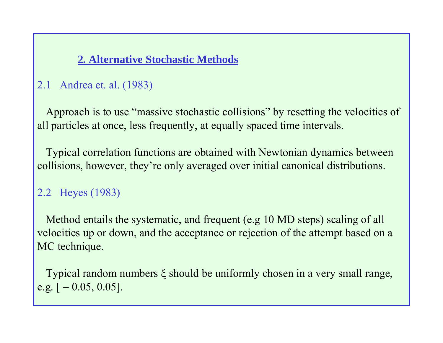#### **2. Alternative Stochastic Methods**

### 2.1 Andrea et. al. (1983)

Approach is to use "massive stochastic collisions" by resetting the velocities of all particles at once, less frequently, at equally spaced time intervals.

Typical correlation functions are obtained with Newtonian dynamics between collisions, however, they're only averaged over initial canonical distributions.

### 2.2 Heyes (1983)

Method entails the systematic, and frequent (e.g 10 MD steps) scaling of all velocities up or down, and the acceptance or rejection of the attempt based on a MC technique.

Typical random numbers  $\xi$  should be uniformly chosen in a very small range, e.g.  $[-0.05, 0.05]$ .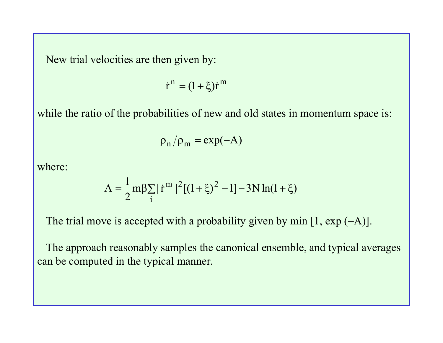New trial velocities are then given by:

$$
\dot{r}^n = (1+\xi)\dot{r}^m
$$

while the ratio of the probabilities of new and old states in momentum space is:

$$
\rho_{n}/\rho_{m} = \exp(-A)
$$

where:

$$
A = \frac{1}{2} m \beta \sum_{i} | \dot{r}^{m} |^{2} [(1+\xi)^{2} - 1] - 3N \ln(1+\xi)
$$

The trial move is accepted with a probability given by min  $[1, \exp(-A)]$ .

The approach reasonably samples the canonical ensemble, and typical averages can be computed in the typical manner.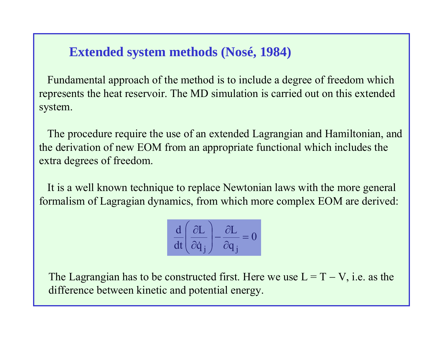# **Extended system methods (Nosé, 1984)**

Fundamental approach of the method is to include a degree of freedom which represents the heat reservoir. The MD simulation is carried out on this extended system.

The procedure require the use of an extended Lagrangian and Hamiltonian, and the derivation of new EOM from an appropriate functional which includes the extra degrees of freedom.

It is a well known technique to replace Newtonian laws with the more general formali sm of Lagragian dynamics, from which more complex EOM are derived:

$$
\frac{\mathrm{d}}{\mathrm{d}t} \left( \frac{\partial L}{\partial \dot{q}_j} \right) - \frac{\partial L}{\partial q_j} = 0
$$

The Lagrangian has to be constructed first. Here we use  $L = T - V$ , i.e. as the difference between kinetic and potential energy.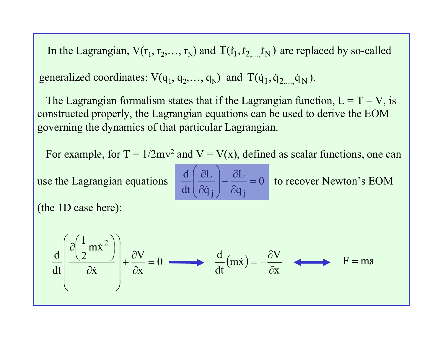In the Lagrangian,  $V(r_1, r_2,..., r_N)$  and  $T(\dot{r}_1, \dot{r}_{2,...,} \dot{r}_N)$  are replaced by so-called

generalized coordinates:  $V(q_1, q_2,..., q_N)$  and  $T(\dot{q}_1, \dot{q}_{2,...,} \dot{q}_N)$ .

The Lagrangian formalism states that if the Lagrangian function,  $L = T - V$ , is constructed properly, the Lagrangian equations can be used to derive the EOM governing the dynamics of that particular Lagrangian.

For example, for  $T = 1/2mv^2$  and  $V = V(x)$ , defined as scalar functions, one can

use the Lagrangian equations

$$
\frac{d}{dt} \left( \frac{\partial L}{\partial \dot{q}_j} \right) - \frac{\partial L}{\partial q_j} = 0
$$
 to recover Newton's EOM

(the 1D case here):

$$
\frac{d}{dt} \left( \frac{\partial \left( \frac{1}{2} m \dot{x}^2 \right)}{\partial \dot{x}} \right) + \frac{\partial V}{\partial x} = 0 \longrightarrow \frac{d}{dt} (m \dot{x}) = -\frac{\partial V}{\partial x} \longrightarrow F = ma
$$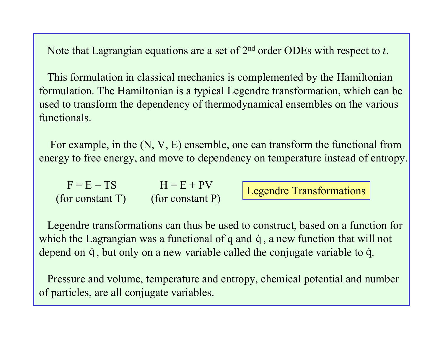Note that Lagrangian equations are a set of 2<sup>nd</sup> order ODEs with respect to *t*.

This formulation in classical mechanics is complemented by the Hamiltonian formulation. The Hamiltonian is a typical Legendre transformation, which can be used to transform the dependency of thermodynamical ensembl es on the various functionals.

For example, in the (N, V, E) ensemble, one can transform the functional from energy to free energy, and move to dependency on temperature instead of entropy.

| $F = E - TS$     | $H = E + PV$     |
|------------------|------------------|
| (for constant T) | (for constant P) |

Legendre Transformations

Legendre transformations can thus be used to construct, based on a function for which the Lagrangian was a functional of q and  $\dot{q}$ , a new function that will not depend on  $\dot{q}$  , but only on a new variable called the conjugate variable to  $\dot{q}$ .

Pressure and volume, temperature and entropy, chemical potential and number of particles, are all conjugate variabl es.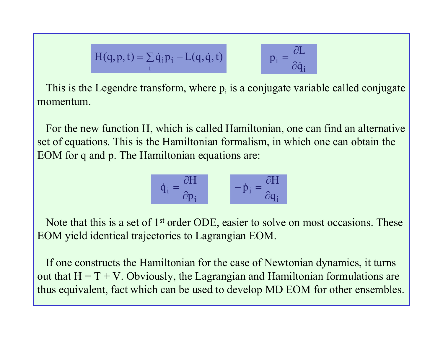$$
H(q, p, t) = \sum_{i} \dot{q}_i p_i - L(q, \dot{q}, t)
$$

$$
p_i = \frac{\partial L}{\partial \dot{q}_i}
$$

This is the Legendre transform, where  $p_i$  is a conjugate variable called conjugate momentum.

For the new function H, which is called Hamiltonian, one can find an alternative set of equations. This is the Hamiltonian formalism, in which one can obtain the EOM for q and p. The Hamiltonian equations are:

$$
\dot{q}_i = \frac{\partial H}{\partial p_i} \qquad \qquad -\dot{p}_i = \frac{\partial H}{\partial q_i}
$$

Note that this is a set of 1<sup>st</sup> order ODE, easier to solve on most occasions. These EOM yield identical trajectories to Lagrangian EOM.

If one constructs the Hamiltonian for the case of Newtonian dynamics, it turns out that  $H = T + V$ . Obviously, the Lagrangian and Hamiltonian formulations are thus equivalent, fact which can be used to develop MD EOM for other ensembles.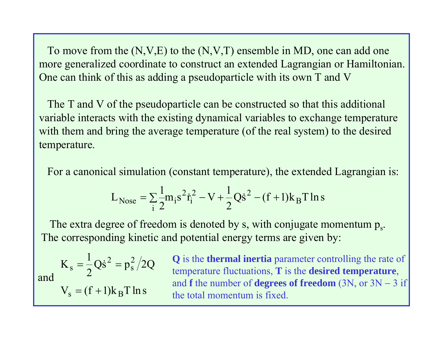To move from the  $(N, V, E)$  to the  $(N, V, T)$  ensemble in MD, one can add one more generalized coordinate to construct an extended Lagrangian or Hamiltonian. One can think of this as adding a pseudoparticle with its own T and V

The T and V of the pseudoparticle can be const ructed so that this additional variable interacts with the existing dynamical variables to exchange temperature with them and bring the average temperature (of the real system) to the desired temperature.

For a canonical simulation (constant temperature), the extended Lagrangian is:

$$
L_{\text{Nose}} = \sum_{i} \frac{1}{2} m_i s^2 \dot{r}_i^2 - V + \frac{1}{2} Q \dot{s}^2 - (f+1) k_B T \ln s
$$

The extra degree of freedom is denoted by s, with conjugate momentum  $p_s$ . The corresponding kinetic and potential energy terms are given by:

 $Q\dot{s}^2 = p_s^2/2Q$ 2  $\rm K_{\rm c} = \frac{1}{2}$ 2 s  $s = \frac{1}{2}Q\dot{s}^2$  $=$   $-$  Os<sup>2</sup> =  $V_s = (f+1)k_B T \ln s$  $=$  (1 + and

**Q** is the **thermal inertia** parameter controlling the rate of temperature fluctuations, **T** is the **desired temperature**, and **f** the number of **degrees of freedom** (3N, or  $3N - 3$  if the total momentum is fixed.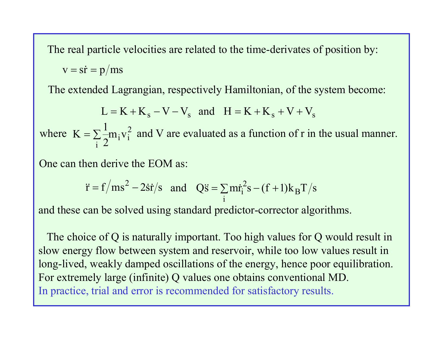The real particle velocities are related to the time-derivates of position by:

$$
v = s\dot{r} = p/ms
$$

The extended Lagrangian, respectively Hamiltonian, of the system become:

$$
L = K + Ks - V - Vs \text{ and } H = K + Ks + V + Vs
$$

where  $K = \sum_{i=1}^{n} m_i v_i^2$  and V are evaluated as a function of r in the usual manner. i $2^{\mathbf{m_i v}}$  $K = \sum_{i=1}^{n}$ 

One can then derive the EOM as:

$$
\ddot{\mathbf{r}} = \mathbf{f}/\mathbf{m}\mathbf{s}^2 - 2\dot{\mathbf{s}}\dot{\mathbf{r}}/\mathbf{s}
$$
 and  $Q\ddot{\mathbf{s}} = \sum_i m \dot{\mathbf{r}}_i^2 \mathbf{s} - (\mathbf{f} + 1)\mathbf{k}_B T/\mathbf{s}$ 

and these can be solved using standard predictor-corrector algorithms.

The c hoice of Q is naturally important. Too high values for Q would result in slow energy flow between system and reservoir, while too low values result in long-lived, weakly damped oscillations of the energy, hence poor equilibration. For extremely large (infinite) Q values one obtains conventional MD. In practice, trial and error is recommended for satisfactory results.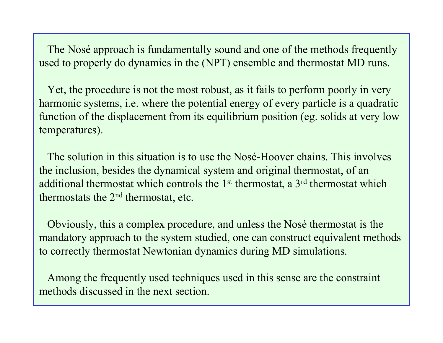The Nosé approach is fundamentally sound and one of the methods frequently used to properly do dynamics in the (NPT) ensemble and thermostat MD runs.

Yet, the procedure is not the most robust, as it fails to perform poorly in very harmonic systems, i.e. where the potential energy of every particle is a quadratic function of the displacement from its equilibrium position (eg. solids at very low temperatures).

The solution in this situation is to use the Nosé-Hoover chains. This involves the inclusion, besides the dynamical system and original thermostat, of an additional thermostat which controls the 1<sup>st</sup> thermostat, a 3<sup>rd</sup> thermostat which thermostats the  $2<sup>nd</sup>$  thermostat, etc.

Obviously, this a complex procedure, and unless the Nosé thermostat is the mandatory approach to the system studied, one can construct equivalent methods to correctly thermostat Newtonian dynamics during MD simulations.

Among the frequently used techniques used in this sense are the constraint methods discussed in the next section.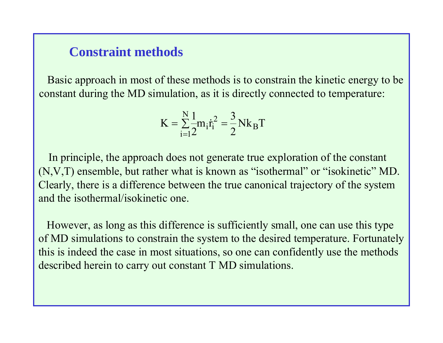### **Constraint methods**

Basic approach in most of these methods is to constrain the kinetic energy to be constant during the MD simulation, as it is directly connected to temperature:

$$
K = \sum_{i=1}^{N} \frac{1}{2} m_i \dot{r}_i^2 = \frac{3}{2} N k_B T
$$

In principle, the approach does not generate true exploration of the constant (N,V,T) ensemble, but rather what is known as "isothermal" or "isokinetic" MD. Clearly, there is a difference between the true canonical trajectory of the system and the isothermal/isokinetic one.

However, as long as this difference is sufficiently small, one can use this type of MD simulations to constrain the system to the desired temperature. Fortunately this is indeed the case in most situations, so one can confidently use the methods described herein to carry out constant T MD simulations.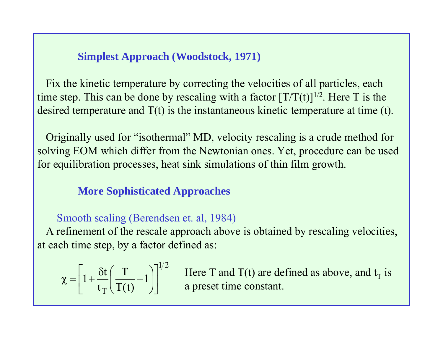**Simplest Approach (Woodstock, 1971)**

Fix the kinetic temperature by correcting the velocities of all particles, each time step. This can be done by rescaling with a factor  $[T/T(t)]^{1/2}$ . Here T is the desired temperature and T(t) is the instantaneous kinetic temperature at time (t).

Originally used for "isothermal" MD, velocity rescaling is a crude method for solving EOM which differ from the Newtonian ones. Yet, procedure can be used for equilibration processes, heat sink simulations of thin film growth.

#### **More Sophisticated Approaches**

#### Smooth scaling (Berendsen et. al, 1984)

A refinement of the rescale approach above is obtained by rescaling velocities, at each time step, by a factor defined as:

$$
\chi = \left[1 + \frac{\delta t}{t_{\rm T}} \left(\frac{T}{T(t)} - 1\right)\right]^{1/2}
$$

Here T and T(t) are defined as above, and  $t_T$  is a preset time constant.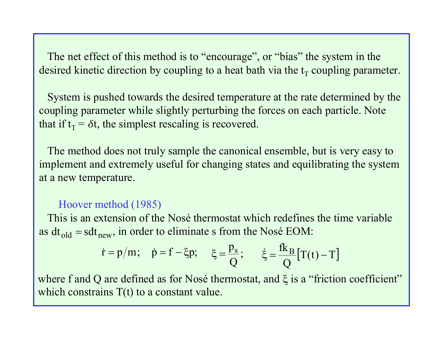The net effect of this method is to "encourage", or "bias" the system in the desired kinetic direction by coupling to a heat bath via the  $\mathfrak{t}_{\rm T}$  coupling parameter.

System is pushed towards the desired temperature at the rate determined by the coupling parameter while slightly perturbing the forces on each particle. Note that if  $t_T = \delta t$ , the simplest rescaling is recovered.

The method does not truly sample the canonical ensemble, but is very easy to implement and extremely useful for changing states and equilibrating the system at a new temperature.

#### Hoover method (1985)

This is an extension of the Nosé thermostat which redefines the time variable as  $dt_{old} = sdt_{new}$ , in order to eliminate s from the Nosé EOM:

$$
\dot{r} = p/m;
$$
  $\dot{p} = f - \xi p;$   $\xi = \frac{p_s}{Q};$   $\dot{\xi} = \frac{f k_B}{Q} [T(t) - T]$ 

where f and Q are defined as for Nosé thermostat, and  $\xi$  is a "friction coefficient" which constrains  $T(t)$  to a constant value.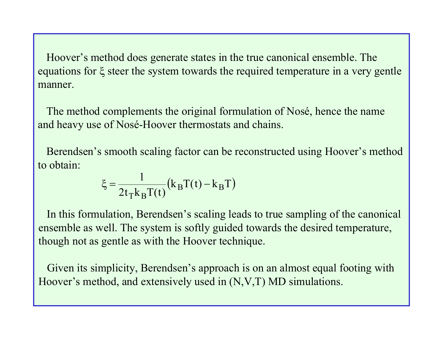Hoover's method does generate states in the true canonical ensemble. The equations for  $\xi$  steer the system towards the required temperature in a very gentle manner.

The method complements the original formulation of Nosé, hence the name and heavy use of Nosé-Hoover thermostats and chains.

Berendsen's smooth scaling factor can be reconstruct ed using Hoover's method to obtain:

$$
\xi = \frac{1}{2t_{\text{T}}k_{\text{B}}T(t)}(k_{\text{B}}T(t) - k_{\text{B}}T)
$$

In this formulation, Berendsen's scaling leads to true sampling of the canonical ensemble as well. The system is softly guided towards the desired temperature, though not as gentle as with the Hoover technique.

Given its simplicity, Berendsen's approach is on an almost equal footing with Hoover's method, and extensively used in (N,V,T) MD simulations.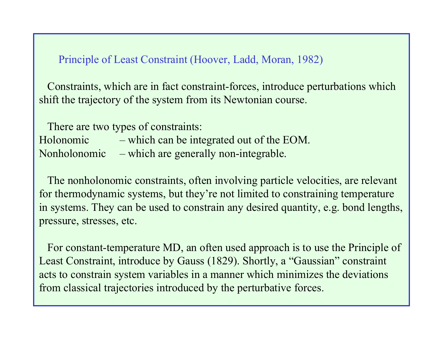Principle of Least Constraint (Hoover, Ladd, Moran, 1982)

Constraints, which are in fact constraint-forces, introduce perturbations which shift the trajectory of the system from its Newtonian course.

There are two types of constraints:

Holonomic – which can be integrated out of the EOM. Nonholonomic –- which are generally non-integrable.

The nonholonomic constraints, often involving particle velocities, are relevant for thermodynamic systems, but they're not limited to constraining temperature in systems. They can be used to constrain any desired quantity, e.g. bond lengths, pressure, stresses, etc.

For constant-temperature MD, an often used approach is to use the Principle of Least Constraint, introduce by Gauss (1829). Shortly, a "Gaussian" constraint acts to constrain system variables in a manner which minimizes the deviations from classical trajectories introduced by the perturbative forces.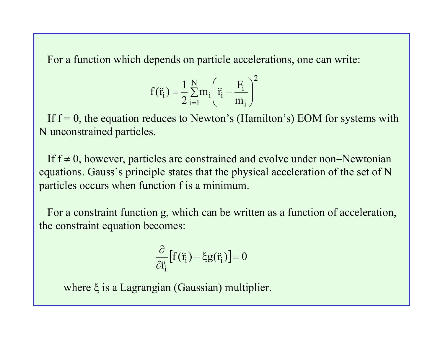For a function which depends on particle accelerations, one can write:

$$
f(\ddot{r}_{i}) = \frac{1}{2} \sum_{i=1}^{N} m_{i} \left( \ddot{r}_{i} - \frac{F_{i}}{m_{i}} \right)^{2}
$$

If  $f = 0$ , the equation reduces to Newton's (Hamilton's) EOM for systems with N unconstrained parti cles.

If  $f \neq 0$ , however, particles are constrained and evolve under non–Newtonian equations. Gauss's principle states that the physical acceleration of the set of N particles occurs when function f is a minimum.

For a constraint function g, which can be written as a function of acceleration, the constraint equation becomes:

$$
\frac{\partial}{\partial \ddot{\mathbf{r}}_i} [f(\ddot{\mathbf{r}}_i) - \xi g(\ddot{\mathbf{r}}_i)] = 0
$$

where ξ is a Lagrangian (Gaussian) multiplier.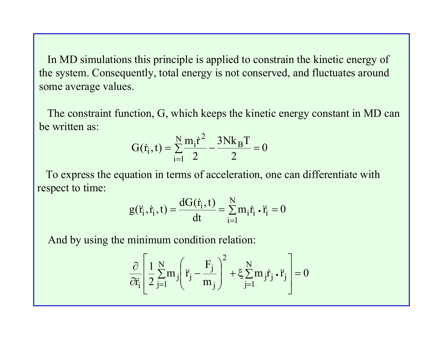In MD simulations this principle is applied to constrain the kinetic energy of the system. Consequently, total energy is not conserved, and fluctuates around some average values.

The constraint function, G, which keeps the kinetic energy constant in MD can be written as:

$$
G(\dot{r}_i, t) = \sum_{i=1}^{N} \frac{m_i \dot{r}^2}{2} - \frac{3Nk_B T}{2} = 0
$$

To express the equation in terms of acceleration, one can differentiate with respect to time:

$$
g(\ddot{r}_i, \dot{r}_i, t) = \frac{dG(\dot{r}_i, t)}{dt} = \sum_{i=1}^{N} m_i \dot{r}_i \cdot \ddot{r}_i = 0
$$

And by using the minimum condition relation:

$$
\frac{\partial}{\partial \ddot{\mathbf{r}}_i} \left[ \frac{1}{2} \sum_{j=1}^N m_j \left( \ddot{\mathbf{r}}_j - \frac{\mathbf{F}_j}{m_j} \right)^2 + \xi \sum_{j=1}^N m_j \dot{\mathbf{r}}_j \cdot \ddot{\mathbf{r}}_j \right] = 0
$$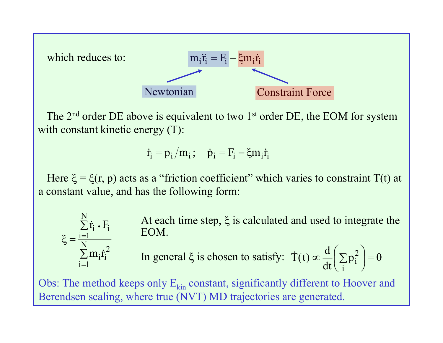

The  $2<sup>nd</sup>$  order DE above is equivalent to two  $1<sup>st</sup>$  order DE, the EOM for system with constant kinetic energy (T):

$$
\dot{\mathbf{r}}_i = \mathbf{p}_i / m_i; \quad \dot{\mathbf{p}}_i = \mathbf{F}_i - \xi \mathbf{m}_i \dot{\mathbf{r}}_i
$$

Here  $\xi = \xi(r, p)$  acts as a "friction coefficient" which varies to constraint T(t) at a constant value, and has the following form:

> At each time step,  $\xi$  is calculated and used to integrate the EOM.

In general 
$$
\xi
$$
 is chosen to satisfy:  $\dot{T}(t) \propto \frac{d}{dt} \left( \sum_i p_i^2 \right) = 0$ 

Obs: The method keeps only  $E_{kin}$  constant, significantly different to Hoover and Berendsen scaling, where true (NVT) MD trajectories are generated.

 $\sum$ 

ᆖ

i $i=1$ 

 $\xi = \frac{1}{N}$ 

 $\sum$ 

 $i = 1$ 

N

 $\bullet$ 

 $\boldsymbol{\dot{\mathrm{r}}}_{\mathrm{i}}$  .  $\boldsymbol{\mathrm{F}}_{\mathrm{i}}$ 

 $i \cdot 1$ 

 $\sum^{\rm N} m_{\rm i}\dot{\rm r}_{\rm i}^2$ 

 $\rm m_{\rm i}r$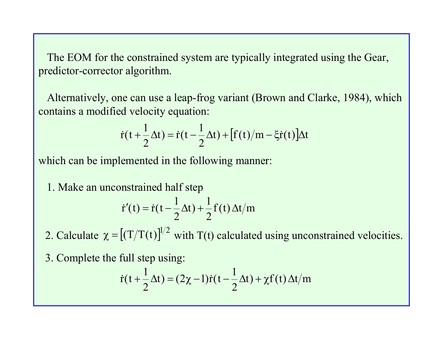The EOM for the constrained system are typically integrated using the Gear, predictor-corrector algorithm.

Alternatively, one can use a leap-frog variant (Brown and Clarke, 1984), which contains a modified velocity equation:

$$
\dot{r}(t+\frac{1}{2}\Delta t) = \dot{r}(t-\frac{1}{2}\Delta t) + [f(t)/m - \xi \dot{r}(t)]\Delta t
$$

which can be implemented in the following manner:

1. Make an unconstrained half step

$$
\dot{\mathbf{r}}'(t) = \dot{\mathbf{r}}(t - \frac{1}{2}\Delta t) + \frac{1}{2}\mathbf{f}(t)\Delta t/m
$$

2. Calculate  $\chi = [(\text{T/T(t)}]^{1/2}$  with T(t) calculated using unconstrained velocities.

3. Complete the full step using:

$$
\dot{r}(t+\frac{1}{2}\Delta t) = (2\chi - 1)\dot{r}(t-\frac{1}{2}\Delta t) + \chi f(t)\Delta t/m
$$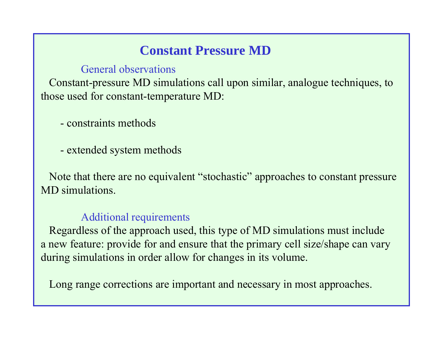# **Constant Pressure MD**

General observations

Constant-pressure MD simulations call upon similar, analogue techniques, to those used for constant-temperature MD:

- constraints methods
- -- extended system methods

Note that there are no equivalent "stochastic" approaches to constant pressure MD simulations.

#### Additional requirements

Regardless of the approach used, this type of MD simulations must include a new feature: provide for and ensure that the primary cell size/shape can vary during simulations in order allow for changes in its volume.

Long range corrections are important and necessary in most approaches.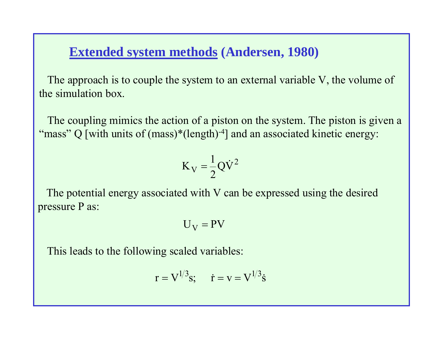### **Extended system methods (Andersen, 1980)**

The approach is to couple the system to an external variable V, the volume of the simulation box.

The coupling mimics the action of a piston on the system. The piston is given a "mass" Q [with units of (mass)\*(length)-4] and an associated kinetic energy:

$$
K_V = \frac{1}{2}Q\dot{V}^2
$$

The potential energy associated with V can be expressed using the desired pressure P as:

$$
U_V = PV
$$

This leads to the following scaled variables:

$$
r = V^{1/3}s
$$
;  $\dot{r} = v = V^{1/3}\dot{s}$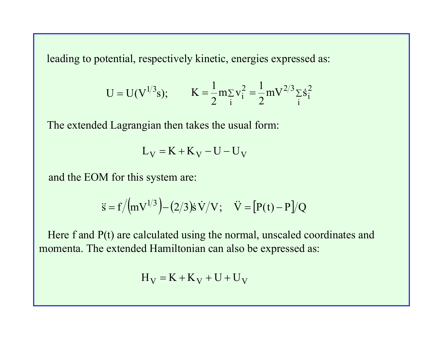leading to potential, respectively kinetic, energies expressed as:

$$
U = U(V^{1/3}s); \qquad K = \frac{1}{2}m_{\Sigma}v_i^2 = \frac{1}{2}mV^{2/3}\Sigma \dot{s}_i^2
$$

The extended Lagrangian then takes the usual form:

$$
L_V = K + K_V - U - U_V
$$

and the EOM for this system are:

$$
\ddot{s} = f / (mV^{1/3}) - (2/3)\dot{s}\,\dot{V}/V; \quad \dot{V} = [P(t) - P]/Q
$$

Here f and P(t) are calculated using the normal, unscaled coordinates and momenta. The extended Hamiltonian can also be expressed as:

$$
H_V = K + K_V + U + U_V
$$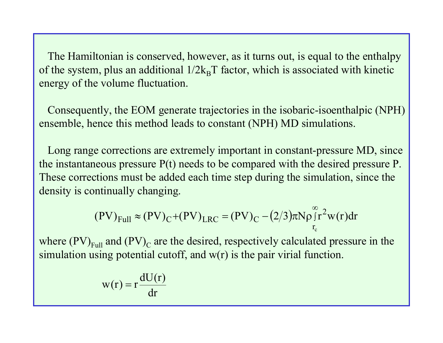The Hamiltonian is conserved, however, as it turns out, is equal to the enthalpy of the system, plus an additional  $1/2k_BT$  factor, which is associated with kinetic energy of the volume fluctuation.

Consequently, the EOM generate trajectories in the isobaric-isoenthalpic (NPH) ensemble, hence this method leads to constant (NPH) MD simulations.

Long range corrections are extremely important in constant-pressure MD, since the instantaneous pressure P(t) needs to be compared with the desired pressure P. These corrections must be added each time step during the simulation, since the density is continually changing.

$$
(PV)_{Full} \approx (PV)_{C} + (PV)_{LRC} = (PV)_{C} - (2/3)\pi N \rho \int_{r_c}^{\infty} r^2 w(r) dr
$$

where  $\text{(PV)}_{\text{Full}}$  and  $\text{(PV)}_{\text{C}}$  are the desired, respectively calculated pressure in the simulation using potential cutoff, and  $w(r)$  is the pair virial function.

$$
w(r) = r \frac{dU(r)}{dr}
$$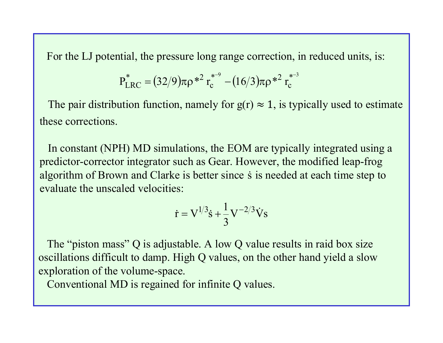For the LJ potential, the pressure long range correction, in reduced units, is:

$$
P_{LRC}^* = (32/9)\pi \rho *^2 r_c^{*-9} - (16/3)\pi \rho *^2 r_c^{*-3}
$$

The pair distribution function, namely for  $g(r) \approx 1$ , is typically used to estimate these corrections.

In constant (NPH) MD simulations, the EOM a re typically integrated using a predictor-corrector integrator such as Gear. However, the modified leap-frog algorithm of Brown and Clarke is better since  $\dot{\rm s}$  is needed at each time step to evaluate the unscaled velocities:

$$
\dot{\mathbf{r}} = \mathbf{V}^{1/3}\dot{\mathbf{s}} + \frac{1}{3}\mathbf{V}^{-2/3}\dot{\mathbf{V}}\mathbf{s}
$$

The "piston mass" Q is adjustable. A low Q value results in raid box size oscillations difficult to damp. High Q values, on the other hand yield a slow exploration of the volume-space.

Conventional MD is regained for infinite Q values.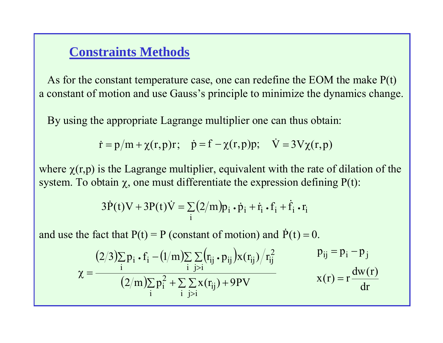### **Constraints Methods**

As for the constant temperature case, one can redefine the EOM the make P(t) a constant of motion and use Gauss's principle to minimize the dynamics change.

By using the appropriate Lagrange multiplier one can thus obtain:

$$
\dot{\mathbf{r}} = \mathbf{p}/\mathbf{m} + \chi(\mathbf{r}, \mathbf{p})\mathbf{r}; \quad \dot{\mathbf{p}} = \mathbf{f} - \chi(\mathbf{r}, \mathbf{p})\mathbf{p}; \quad \dot{\mathbf{V}} = 3\mathbf{V}\chi(\mathbf{r}, \mathbf{p})
$$

where  $\chi(r,p)$  is the Lagrange multiplier, equivalent with the rate of dilation of the system. To obtain  $\chi$ , one must differentiate the expression defining  $P(t)$ :

$$
3\dot{P}(t)V + 3P(t)\dot{V} = \sum_{i} (2/m)p_i \cdot \dot{p}_i + \dot{r}_i \cdot f_i + \dot{f}_i \cdot r_i
$$

and use the fact that  $P(t) = P$  (constant of motion) and  $\dot{P}(t) = 0$ .

$$
\chi = \frac{(2/3)\sum_{i} p_i \cdot f_i - (1/m)\sum_{i} \sum_{j>i} (r_{ij} \cdot p_{ij}) x(r_{ij}) / r_{ij}^2}{(2/m)\sum_{i} p_i^2 + \sum_{i} \sum_{j>i} x(r_{ij}) + 9PV} \qquad \begin{array}{c} p_{ij} = p_i - p_j \\ x(r) = r \frac{dw(r)}{dr} \end{array}
$$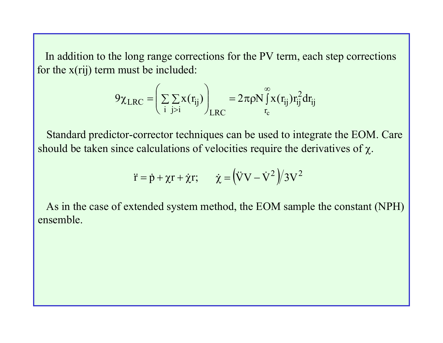In addition to the long range corrections for the PV term, each step corrections for the  $x(ij)$  term must be included:

$$
9\chi_{LRC} = \left(\sum_{i} \sum_{j>i} x(r_{ij})\right)_{LRC} = 2\pi \rho N \int_{r_c}^{\infty} x(r_{ij}) r_{ij}^2 dr_{ij}
$$

Standard predictor-corrector techniques can be used to integrate the EOM. Care should be taken since calculations of velocities require the derivatives of  $\chi$ .

$$
\ddot{r} = \dot{p} + \chi r + \dot{\chi} r; \qquad \dot{\chi} = (\ddot{V}V - \dot{V}^2)/3V^2
$$

As in the case of extended system method, the EOM sample the constant (NPH) ensemble.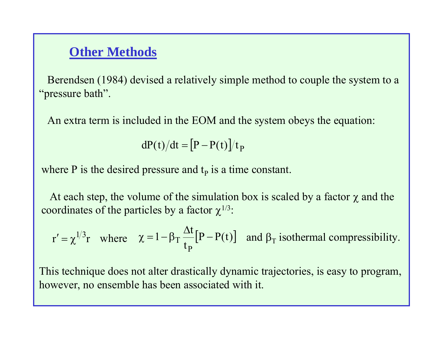### **Other Methods**

Berendsen (1984) devised a relatively simple method to couple the system to a "pressure bath".

An extra term is included in the EOM and the system obeys the equation:

 $dP(t)/dt = [P - P(t)]/t_P$ 

where P is the desired pressure and  $t<sub>p</sub>$  is a time constant.

At each step, the volume of the simulation box is scaled by a factor  $\chi$  and the coordinates of the particles by a factor  $\chi^{1/3}$ :

$$
r' = \chi^{1/3}r
$$
 where  $\chi = 1 - \beta_T \frac{\Delta t}{t_P} [P - P(t)]$  and  $\beta_T$  isothermal compressibility.

This technique does not alter drastically dynamic trajectories, is easy to program, however, no ensemble has been associated with it.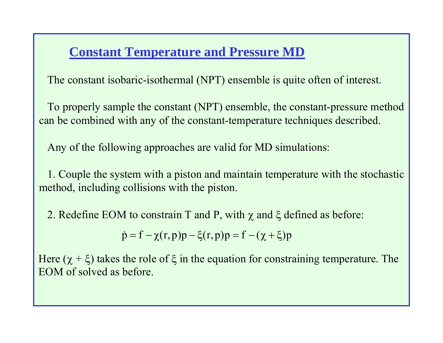# **Constant Temperature and Pressure MD**

The constant isobaric-isothermal (NPT) ensemble is quite often of interest.

To properly sample the constant (NPT) ensembl e, the constant-pressure method can be combined with any of the constant-temperature techniques described.

Any of the following approaches are valid for MD simulations:

1. Couple the system with a piston and maintain temperature with the stochastic method, including collisions with the piston.

2. Redefine EOM to constrain T and P, with  $\chi$  and  $\xi$  defined as before:

 $\dot{p} = f - \chi(r, p)p - \xi(r, p)p = f - (\chi + \xi)p$ 

Here ( $\chi + \xi$ ) takes the role of  $\xi$  in the equation for constraining temperature. The EOM of solved as before.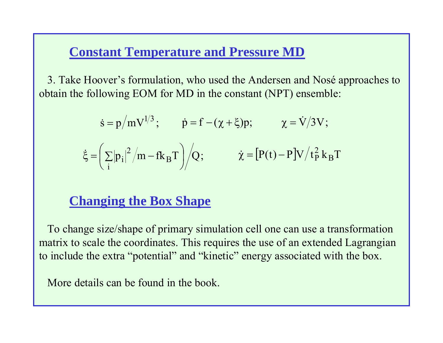### **Constant Temperature and Pressure MD**

3. Take Hoover's formulation, who used the Andersen and Nosé approaches to obtain the following EOM for MD in the constant (NPT) ensemble:

$$
\dot{\mathbf{s}} = \mathbf{p}/\mathbf{m}\mathbf{V}^{1/3}; \qquad \dot{\mathbf{p}} = \mathbf{f} - (\chi + \xi)\mathbf{p}; \qquad \chi = \dot{\mathbf{V}}/3\mathbf{V};
$$

$$
\dot{\mathbf{\xi}} = \left(\sum_{i} |\mathbf{p}_i|^2 / \mathbf{m} - \mathbf{f}\mathbf{k}_B \mathbf{T}\right) / Q; \qquad \dot{\chi} = \left[\mathbf{P(t)} - \mathbf{P}\right] \mathbf{V} / t_P^2 \mathbf{k}_B \mathbf{T}
$$

# **Changing the Box Shape**

To change size/shape of primary simulation cell one can use a transformation matrix to scale the coordinates. This requires the use of an extended Lagrangian to include the extra "potential" and "kinetic" energy associated with the box.

More details can be found in the book.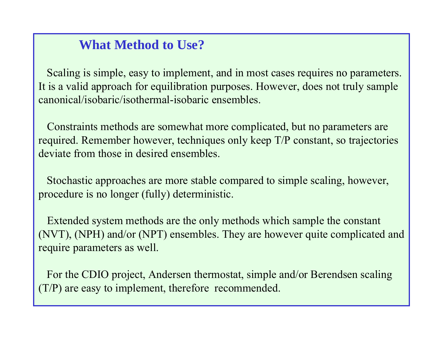# **What Method to Use?**

Scaling is simple, easy to implement, and in most cases requires no parameters. It is a valid approach for equilibration purposes. However, does not truly sample canonical/isobaric/isothermal-isobaric ensembles.

Constraints methods are somewhat more complicated, but no parameters are required. Remember however, techniques only keep T/P constant, so trajectories deviate from those in desired ensembles.

Stochastic approaches are more stable compared to simple scaling, however, procedure is no longer (fully) deterministic.

Extended system methods are the only methods which sample the constant (NVT), (NPH) and/or (NPT) ensembles. They are however quite complicated and require parameters as well.

For the CDIO project, Andersen thermostat, simple and/or Berendsen scaling (T/P) are easy to implement, therefore recommended.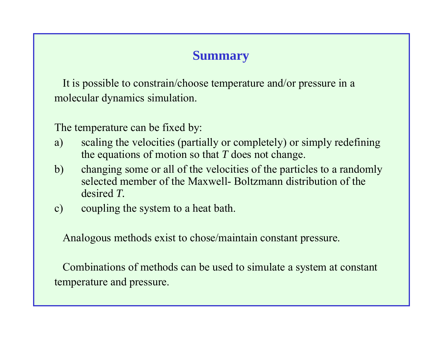# **Summary**

It is possible to constrain/choose temperature and/or pressure in a molecular dynamics simulation.

The temperature can be fixed by:

- a) scaling the velocities (partially or completely) or simply redefining the equations of motion so that *T* does not change.
- b) changing some or all of the velocities of the particles to a randomly selected member of the Maxwell- Boltzmann distribution of the desired *T.*
- c) coupling the system to a heat bath.

Analogous methods exist to chose/maintain constant pressure.

Combinations of methods can be used to simulate a system at constant temperature and pressure.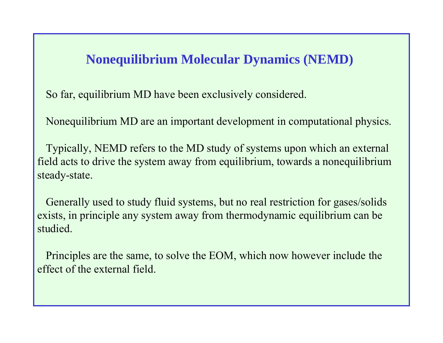### **Nonequilibrium Molecular Dynamics (NEMD)**

So far, equilibrium MD have been exclusively considered.

Nonequilibrium MD are an important development in computational physics.

Typically, NEMD refers to the MD study of systems upon which an external field acts to drive the system away from equilibrium, towards a nonequilibrium steady-state.

Generally used to study fluid systems, but no real restriction for gases/solids exists, in principle any system away from thermodynamic equilibrium can be studied.

Principles are the same, to solve the EOM, which now however include the effect of the external field.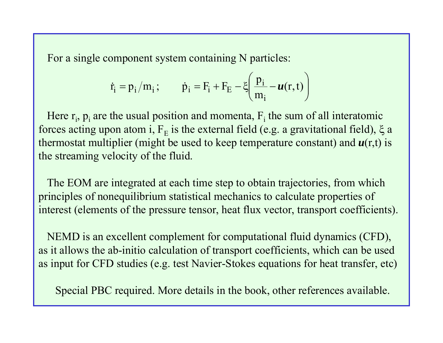For a single component system containing N particles:

$$
\dot{r}_i = p_i/m_i \, ; \qquad \dot{p}_i = F_i + F_E - \xi \left(\frac{p_i}{m_i} - u(r, t)\right)
$$

Here  $r_i$ ,  $p_i$  are the usual position and momenta,  $F_i$  the sum of all interatomic forces acting upon atom i,  $F_E$  is the external field (e.g. a gravitational field),  $\xi$  a thermostat multiplier (might be used to keep temperature constant) and  $u(r,t)$  is the streaming velocity of the fluid.

The EOM are integrated at each time step to obtain trajectories, from which principles of nonequilibrium statistical mechanics to calculate properties of interest (elements of the pressure tensor, heat flux vector, transport coefficients).

NEMD is an excellent complement for computational fluid dynamics (CFD), as it allows the ab-initio calculation of transport coefficients, which can be used as input for CFD studies (e.g. test Navier-Stokes equations for heat transfer, etc)

Special PBC required. More details in the book, other references available.